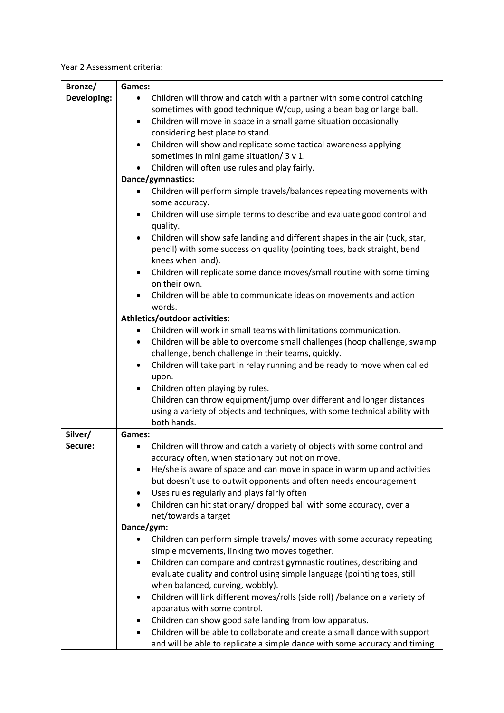Year 2 Assessment criteria:

| Bronze/     | Games:                                                                                    |
|-------------|-------------------------------------------------------------------------------------------|
| Developing: | Children will throw and catch with a partner with some control catching                   |
|             | sometimes with good technique W/cup, using a bean bag or large ball.                      |
|             | Children will move in space in a small game situation occasionally<br>$\bullet$           |
|             | considering best place to stand.                                                          |
|             | Children will show and replicate some tactical awareness applying<br>٠                    |
|             |                                                                                           |
|             | sometimes in mini game situation/ 3 v 1.                                                  |
|             | Children will often use rules and play fairly.                                            |
|             | Dance/gymnastics:                                                                         |
|             | Children will perform simple travels/balances repeating movements with<br>$\bullet$       |
|             | some accuracy.                                                                            |
|             | Children will use simple terms to describe and evaluate good control and                  |
|             | quality.                                                                                  |
|             | Children will show safe landing and different shapes in the air (tuck, star,<br>$\bullet$ |
|             | pencil) with some success on quality (pointing toes, back straight, bend                  |
|             | knees when land).                                                                         |
|             | Children will replicate some dance moves/small routine with some timing<br>٠              |
|             | on their own.                                                                             |
|             | Children will be able to communicate ideas on movements and action                        |
|             |                                                                                           |
|             | words.                                                                                    |
|             | Athletics/outdoor activities:                                                             |
|             | Children will work in small teams with limitations communication.                         |
|             | Children will be able to overcome small challenges (hoop challenge, swamp<br>٠            |
|             | challenge, bench challenge in their teams, quickly.                                       |
|             | Children will take part in relay running and be ready to move when called<br>$\bullet$    |
|             | upon.                                                                                     |
|             | Children often playing by rules.                                                          |
|             | Children can throw equipment/jump over different and longer distances                     |
|             | using a variety of objects and techniques, with some technical ability with               |
|             | both hands.                                                                               |
| Silver/     | Games:                                                                                    |
| Secure:     | Children will throw and catch a variety of objects with some control and                  |
|             | ٠                                                                                         |
|             | accuracy often, when stationary but not on move.                                          |
|             | He/she is aware of space and can move in space in warm up and activities                  |
|             | but doesn't use to outwit opponents and often needs encouragement                         |
|             | Uses rules regularly and plays fairly often                                               |
|             | Children can hit stationary/ dropped ball with some accuracy, over a                      |
|             | net/towards a target                                                                      |
|             | Dance/gym:                                                                                |
|             | Children can perform simple travels/ moves with some accuracy repeating                   |
|             | simple movements, linking two moves together.                                             |
|             | Children can compare and contrast gymnastic routines, describing and<br>٠                 |
|             | evaluate quality and control using simple language (pointing toes, still                  |
|             | when balanced, curving, wobbly).                                                          |
|             |                                                                                           |
|             | Children will link different moves/rolls (side roll) /balance on a variety of<br>٠        |
|             | apparatus with some control.                                                              |
|             | Children can show good safe landing from low apparatus.                                   |
|             | Children will be able to collaborate and create a small dance with support                |
|             | and will be able to replicate a simple dance with some accuracy and timing                |